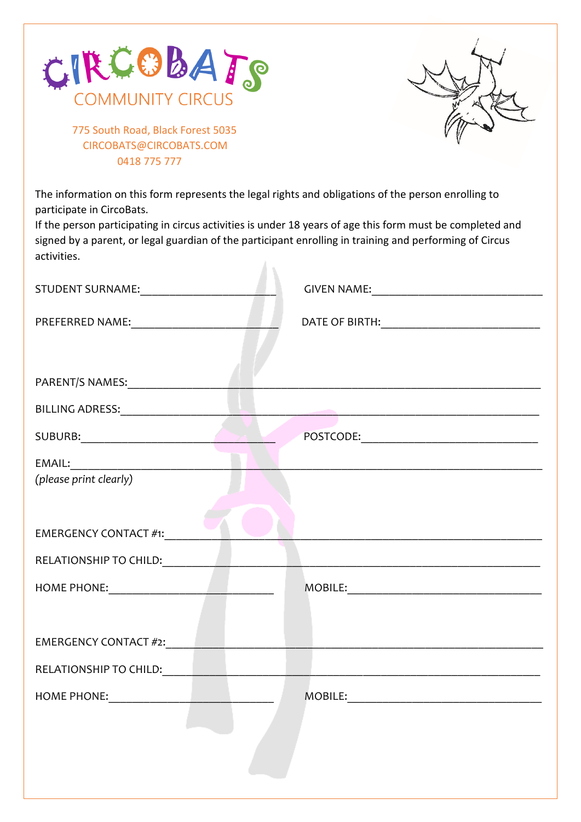



 775 South Road, Black Forest 5035 [CIRCOBATS@CIRCOBATS.COM](mailto:CIRCOBATS@CIRCOBATS.COM) 0418 775 777

The information on this form represents the legal rights and obligations of the person enrolling to participate in CircoBats.

If the person participating in circus activities is under 18 years of age this form must be completed and signed by a parent, or legal guardian of the participant enrolling in training and performing of Circus activities. A.

| BILLING ADRESS: University of the contract of the contract of the contract of the contract of the contract of                                                                                                                  |  |
|--------------------------------------------------------------------------------------------------------------------------------------------------------------------------------------------------------------------------------|--|
| SUBURB: And the state of the state of the state of the state of the state of the state of the state of the state of the state of the state of the state of the state of the state of the state of the state of the state of th |  |
|                                                                                                                                                                                                                                |  |
| (please print clearly)                                                                                                                                                                                                         |  |
|                                                                                                                                                                                                                                |  |
| <b>EMERGENCY CONTACT #1:</b>                                                                                                                                                                                                   |  |
|                                                                                                                                                                                                                                |  |
|                                                                                                                                                                                                                                |  |
|                                                                                                                                                                                                                                |  |
|                                                                                                                                                                                                                                |  |
| RELATIONSHIP TO CHILD: THE RELATIONSHIP TO CHILD:                                                                                                                                                                              |  |
|                                                                                                                                                                                                                                |  |
|                                                                                                                                                                                                                                |  |
|                                                                                                                                                                                                                                |  |
|                                                                                                                                                                                                                                |  |
|                                                                                                                                                                                                                                |  |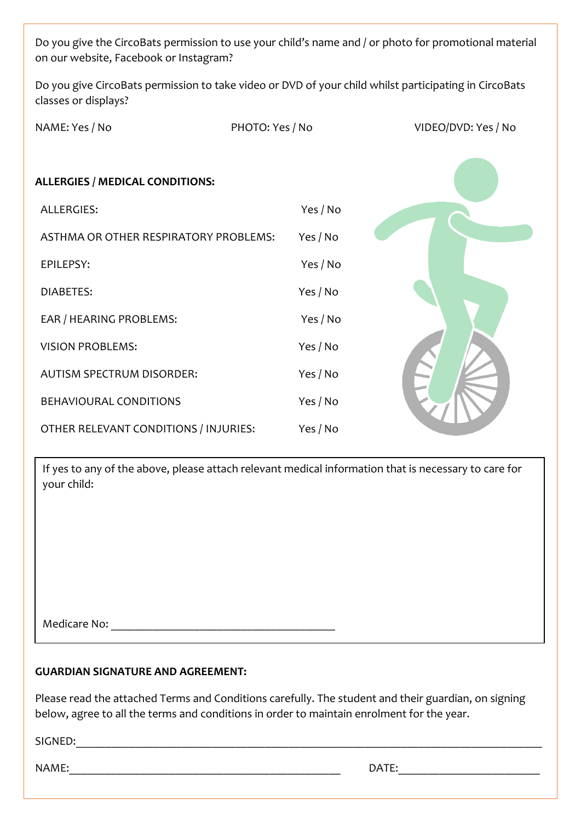Do you give the CircoBats permission to use your child's name and / or photo for promotional material on our website, Facebook or Instagram?

Do you give CircoBats permission to take video or DVD of your child whilst participating in CircoBats classes or displays?

| NAME: Yes / No                         | PHOTO: Yes / No | VIDEO/DVD: Yes / No |
|----------------------------------------|-----------------|---------------------|
| <b>ALLERGIES / MEDICAL CONDITIONS:</b> |                 |                     |
| ALLERGIES:                             | Yes / No        |                     |
| ASTHMA OR OTHER RESPIRATORY PROBLEMS:  | Yes / No        |                     |
| EPILEPSY:                              | Yes / No        |                     |
| <b>DIABETES:</b>                       | Yes / No        |                     |
| EAR / HEARING PROBLEMS:                | Yes / No        |                     |
| <b>VISION PROBLEMS:</b>                | Yes / No        |                     |
| <b>AUTISM SPECTRUM DISORDER:</b>       | Yes / No        |                     |
| BEHAVIOURAL CONDITIONS                 | Yes / No        |                     |
| OTHER RELEVANT CONDITIONS / INJURIES:  | Yes / No        |                     |

If yes to any of the above, please attach relevant medical information that is necessary to care for your child:

Medicare No:

## **GUARDIAN SIGNATURE AND AGREEMENT:**

Please read the attached Terms and Conditions carefully. The student and their guardian, on signing below, agree to all the terms and conditions in order to maintain enrolment for the year.

 $SIGNED:$ 

NAME:\_\_\_\_\_\_\_\_\_\_\_\_\_\_\_\_\_\_\_\_\_\_\_\_\_\_\_\_\_\_\_\_\_\_\_\_\_\_\_\_\_\_\_\_\_\_ DATE:\_\_\_\_\_\_\_\_\_\_\_\_\_\_\_\_\_\_\_\_\_\_\_\_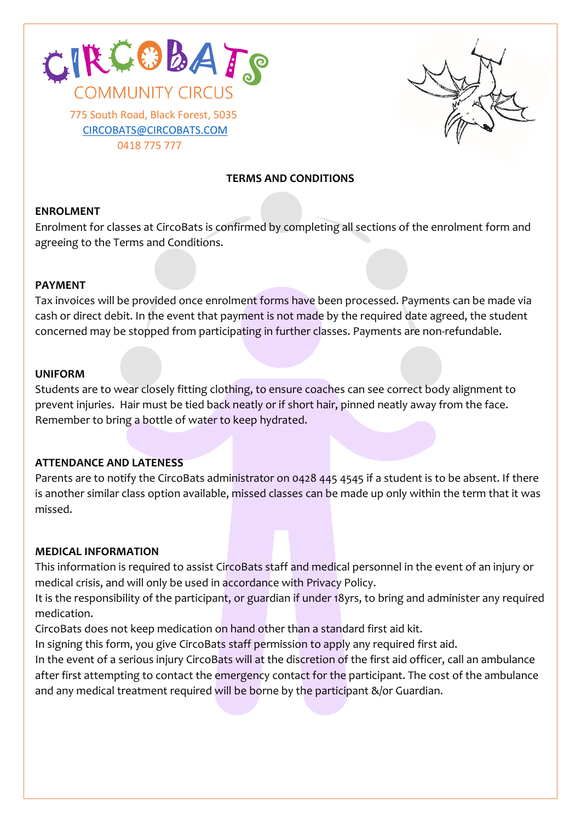



# **TERMS AND CONDITIONS**

## **ENROLMENT**

Enrolment for classes at CircoBats is confirmed by completing all sections of the enrolment form and agreeing to the Terms and Conditions.

#### **PAYMENT**

Tax invoices will be provided once enrolment forms have been processed. Payments can be made via cash or direct debit. In the event that payment is not made by the required date agreed, the student concerned may be stopped from participating in further classes. Payments are non-refundable.

#### **UNIFORM**

Students are to wear closely fitting clothing, to ensure coaches can see correct body alignment to prevent injuries. Hair must be tied back neatly or if short hair, pinned neatly away from the face. Remember to bring a bottle of water to keep hydrated.

#### **ATTENDANCE AND LATENESS**

Parents are to notify the CircoBats administrator on 0428 445 4545 if a student is to be absent. If there is another similar class option available, missed classes can be made up only within the term that it was missed.

#### **MEDICAL INFORMATION**

This information is required to assist CircoBats staff and medical personnel in the event of an injury or medical crisis, and will only be used in accordance with Privacy Policy.

It is the responsibility of the participant, or guardian if under 18yrs, to bring and administer any required medication.

CircoBats does not keep medication on hand other than a standard first aid kit.

In signing this form, you give CircoBats staff permission to apply any required first aid.

In the event of a serious injury CircoBats will at the discretion of the first aid officer, call an ambulance after first attempting to contact the emergency contact for the participant. The cost of the ambulance and any medical treatment required will be borne by the participant &/or Guardian.